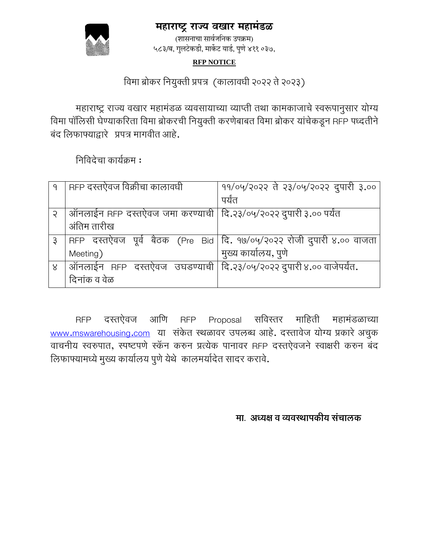### **महाराष्ट्र राज्य वखार महामंडळ**



(शासनाचा सार्वजननक उपक्रम) ५८३/ब, गुलटेकडी, मार्केट यार्ड, पुणे ४११ ०३७,

### **RFP NOTICE**

## विमा ब्रोकर वियुक्ती प्रपत्र (कालािधी 2022 ते 2023)

महाराष्ट्र राज्य वखार महामंडळ व्यवसायाच्या व्याप्ती तथा कामकाजाचे स्वरूपानुसार योग्य विमा पॉलिसी घेण्याकरिता विमा ब्रोकरची नियुक्ती करणेबाबत विमा ब्रोकर यांचेकडून RFP पध्दतीने बंद वलफाफ्याद्वारे प्रपत्र मागिीत आहे.

विविदेचा काययक्रम :

| 9 | RFP दस्तऐवज विक्रीचा कालावधी                                                 | 99/04/२०२२ ते २३/०५/२०२२ दुपारी ३.००                                    |
|---|------------------------------------------------------------------------------|-------------------------------------------------------------------------|
|   |                                                                              | पर्यंत                                                                  |
| Ç | ऑनलाईन RFP दस्तऐवज जमा करण्याची   दि.२३/०५/२०२२ दुपारी ३.०० पर्यंत           |                                                                         |
|   | अंतिम तारीख                                                                  |                                                                         |
| Ş |                                                                              | RFP दस्तऐवज पूर्व बैठक (Pre Bid   दि. १७/०५/२०२२ रोजी दुपारी ४.०० वाजता |
|   | Meeting)                                                                     | मुख्य कार्यालय, पुणे                                                    |
| 8 | ऑनलाईन RFP दस्तऐवज उघडण्याची   दि.२३/०५/२०२२ दुपारी ४.०० वाजेपर्यंत <b>.</b> |                                                                         |
|   | दिनांक व वेळ                                                                 |                                                                         |

RFP दस्तऐिज आवण RFP Proposal सविस्तर मावहती महामंडळाच्या [www.mswarehousing.com](http://www.mswarehousing.com/) या संकेत स्थळावर उपलब्ध आहे. दस्तावेज योग्य प्रकारे अचुक वाचनीय स्वरुपात, स्पष्टपणे स्कॅन करुन प्रत्येक पानावर RFP दस्तऐवजने स्वाक्षरी करुन बंद लिफाफ्यामध्ये मुख्य कार्यालय पुणे येथे कालमर्यादेत सादर करावे.

 **मा. अध्यक्ष व व्यवस्थापकीय संचालक**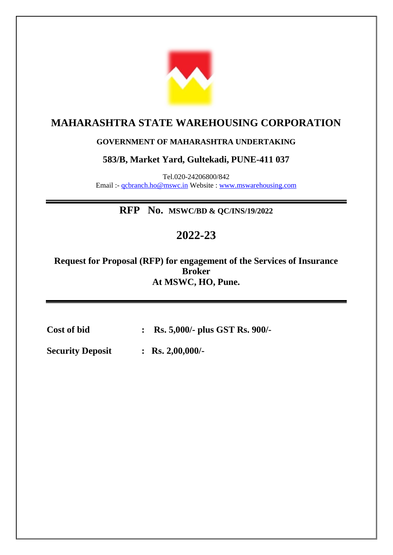

# **MAHARASHTRA STATE WAREHOUSING CORPORATION**

### **GOVERNMENT OF MAHARASHTRA UNDERTAKING**

### **583/B, Market Yard, Gultekadi, PUNE-411 037**

Tel.020-24206800/842 Email :- [qcbranch.ho@mswc.in](mailto:qcbranch.ho@mswc.in) Website : [www.mswarehousing.com](http://www.mswarehousing.com/)

**RFP No. MSWC/BD & QC/INS/19/2022**

# **2022-23**

**Request for Proposal (RFP) for engagement of the Services of Insurance Broker At MSWC, HO, Pune.**

**Cost of bid : Rs. 5,000/- plus GST Rs. 900/-**

**Security Deposit : Rs. 2,00,000/-**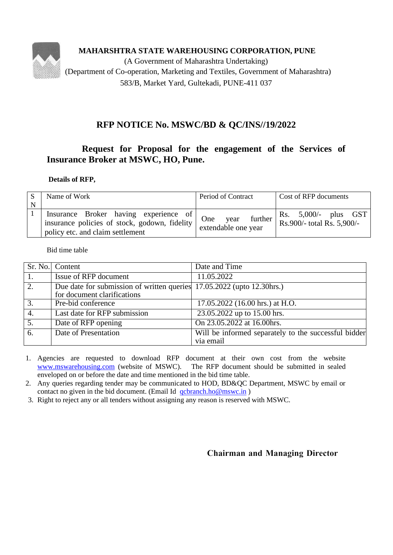

**MAHARSHTRA STATE WAREHOUSING CORPORATION, PUNE**

(A Government of Maharashtra Undertaking) (Department of Co-operation, Marketing and Textiles, Government of Maharashtra) 583/B, Market Yard, Gultekadi, PUNE-411 037

### **RFP NOTICE No. MSWC/BD & QC/INS//19/2022**

### **Request for Proposal for the engagement of the Services of Insurance Broker at MSWC, HO, Pune.**

#### **Details of RFP,**

| N | Name of Work                                                                                                                                        | Period of Contract                            | Cost of RFP documents                                             |
|---|-----------------------------------------------------------------------------------------------------------------------------------------------------|-----------------------------------------------|-------------------------------------------------------------------|
|   | Insurance Broker having experience of $\bigcap_{n=1}^{\infty}$<br>insurance policies of stock, godown, fidelity<br>policy etc. and claim settlement | further<br>year<br>One<br>extendable one year | Rs. 5,000/- plus GST<br>$\frac{1}{2}$ Rs. 900/- total Rs. 5,900/- |

Bid time table

|                  | Sr. No. Content                                                                                       | Date and Time                                                     |
|------------------|-------------------------------------------------------------------------------------------------------|-------------------------------------------------------------------|
|                  | Issue of RFP document                                                                                 | 11.05.2022                                                        |
| 2.               | Due date for submission of written queries 17.05.2022 (upto 12.30hrs.)<br>for document clarifications |                                                                   |
| 3.               | Pre-bid conference                                                                                    | 17.05.2022 (16.00 hrs.) at H.O.                                   |
| 4.               | Last date for RFP submission                                                                          | 23.05.2022 up to 15.00 hrs.                                       |
| $\overline{5}$ . | Date of RFP opening                                                                                   | On 23.05.2022 at 16.00hrs.                                        |
| 6.               | Date of Presentation                                                                                  | Will be informed separately to the successful bidder<br>via email |

- 1. Agencies are requested to download RFP document at their own cost from the website [www.mswarehousing.com](http://www.mswarehousing.com/) (website of MSWC). The RFP document should be submitted in sealed enveloped on or before the date and time mentioned in the bid time table.
- 2. Any queries regarding tender may be communicated to HOD, BD&QC Department, MSWC by email or contact no given in the bid document. (Email Id [qcbranch.ho@mswc.in](mailto:qcbranch.ho@mswc.in) )
- 3. Right to reject any or all tenders without assigning any reason is reserved with MSWC.

### **Chairman and Managing Director**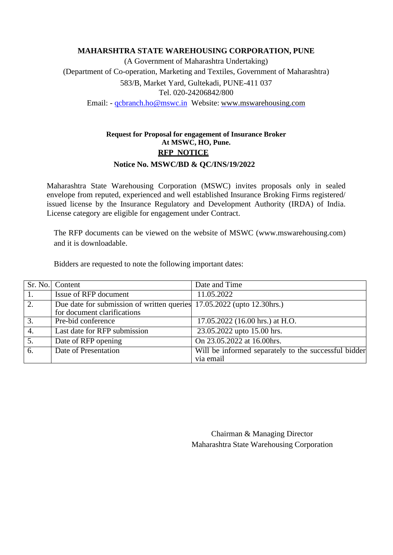#### **MAHARSHTRA STATE WAREHOUSING CORPORATION, PUNE**

(A Government of Maharashtra Undertaking) (Department of Co-operation, Marketing and Textiles, Government of Maharashtra) 583/B, Market Yard, Gultekadi, PUNE-411 037 Tel. 020-24206842/800 Email: - [qcbranch.ho@mswc.in](mailto:qcbranch.ho@mswc.in) Website: [www.mswarehousing.com](http://www.mswarehousing.com/)

### **Request for Proposal for engagement of Insurance Broker At MSWC, HO, Pune. RFP NOTICE Notice No. MSWC/BD & QC/INS/19/2022**

Maharashtra State Warehousing Corporation (MSWC) invites proposals only in sealed envelope from reputed, experienced and well established Insurance Broking Firms registered/ issued license by the Insurance Regulatory and Development Authority (IRDA) of India. License category are eligible for engagement under Contract.

The RFP documents can be viewed on the website of MSWC (www.mswarehousing.com) and it is downloadable.

Bidders are requested to note the following important dates:

|                  | Sr. No. Content                                                                                        | Date and Time                                                     |
|------------------|--------------------------------------------------------------------------------------------------------|-------------------------------------------------------------------|
|                  | Issue of RFP document                                                                                  | 11.05.2022                                                        |
| 2.               | Due date for submission of written queries 17.05.2022 (upto 12.30 hrs.)<br>for document clarifications |                                                                   |
| 3.               | Pre-bid conference                                                                                     | 17.05.2022 (16.00 hrs.) at H.O.                                   |
| 4.               | Last date for RFP submission                                                                           | 23.05.2022 upto 15.00 hrs.                                        |
| $\overline{5}$ . | Date of RFP opening                                                                                    | On 23.05.2022 at 16.00hrs.                                        |
| 6.               | Date of Presentation                                                                                   | Will be informed separately to the successful bidder<br>via email |

 Chairman & Managing Director Maharashtra State Warehousing Corporation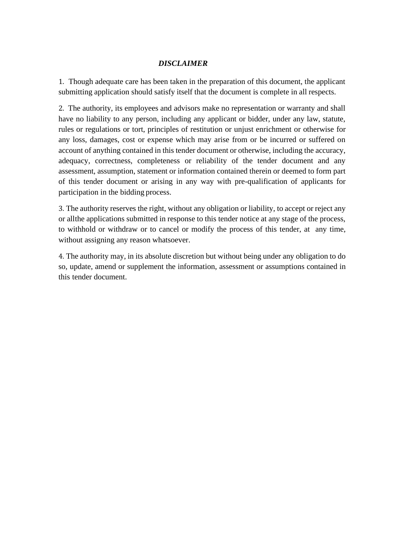### *DISCLAIMER*

1. Though adequate care has been taken in the preparation of this document, the applicant submitting application should satisfy itself that the document is complete in all respects.

2. The authority, its employees and advisors make no representation or warranty and shall have no liability to any person, including any applicant or bidder, under any law, statute, rules or regulations or tort, principles of restitution or unjust enrichment or otherwise for any loss, damages, cost or expense which may arise from or be incurred or suffered on account of anything contained in this tender document or otherwise, including the accuracy, adequacy, correctness, completeness or reliability of the tender document and any assessment, assumption, statement or information contained therein or deemed to form part of this tender document or arising in any way with pre-qualification of applicants for participation in the bidding process.

3. The authority reserves the right, without any obligation or liability, to accept or reject any or allthe applications submitted in response to this tender notice at any stage of the process, to withhold or withdraw or to cancel or modify the process of this tender, at any time, without assigning any reason whatsoever.

4. The authority may, in its absolute discretion but without being under any obligation to do so, update, amend or supplement the information, assessment or assumptions contained in this tender document.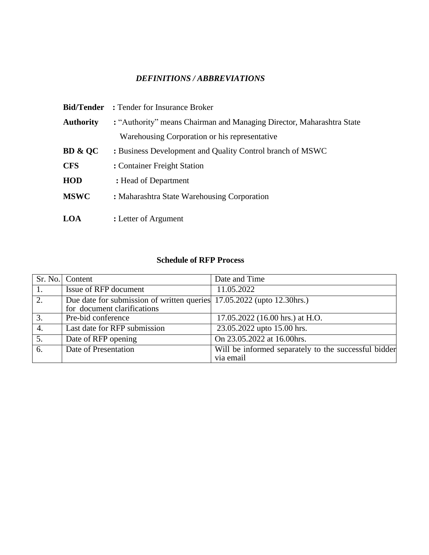### *DEFINITIONS / ABBREVIATIONS*

|                    | <b>Bid/Tender</b> : Tender for Insurance Broker                       |  |
|--------------------|-----------------------------------------------------------------------|--|
| <b>Authority</b>   | : "Authority" means Chairman and Managing Director, Maharashtra State |  |
|                    | Warehousing Corporation or his representative                         |  |
| <b>BD &amp; QC</b> | : Business Development and Quality Control branch of MSWC             |  |
| <b>CFS</b>         | : Container Freight Station                                           |  |
| <b>HOD</b>         | : Head of Department                                                  |  |
| <b>MSWC</b>        | : Maharashtra State Warehousing Corporation                           |  |
|                    |                                                                       |  |
| <b>LOA</b>         | : Letter of Argument                                                  |  |

### **Schedule of RFP Process**

|                  | Sr. No. Content                                                         | Date and Time                                        |
|------------------|-------------------------------------------------------------------------|------------------------------------------------------|
|                  | Issue of RFP document                                                   | 11.05.2022                                           |
| 2.               | Due date for submission of written queries 17.05.2022 (upto 12.30 hrs.) |                                                      |
|                  | for document clarifications                                             |                                                      |
| 3.               | Pre-bid conference                                                      | 17.05.2022 (16.00 hrs.) at H.O.                      |
| 4.               | Last date for RFP submission                                            | 23.05.2022 upto 15.00 hrs.                           |
| $\overline{5}$ . | Date of RFP opening                                                     | On 23.05.2022 at 16.00hrs.                           |
| 6.               | Date of Presentation                                                    | Will be informed separately to the successful bidder |
|                  |                                                                         | via email                                            |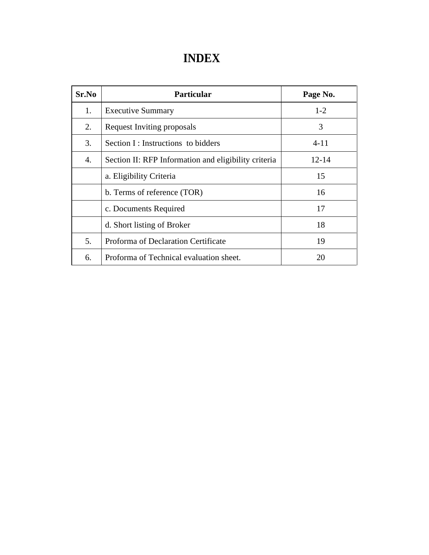# **INDEX**

| Sr.No | <b>Particular</b>                                    | Page No. |
|-------|------------------------------------------------------|----------|
| 1.    | <b>Executive Summary</b>                             | $1 - 2$  |
| 2.    | <b>Request Inviting proposals</b>                    | 3        |
| 3.    | Section $I:$ Instructions to bidders                 | $4 - 11$ |
| 4.    | Section II: RFP Information and eligibility criteria | 12-14    |
|       | a. Eligibility Criteria                              | 15       |
|       | b. Terms of reference (TOR)                          | 16       |
|       | c. Documents Required                                | 17       |
|       | d. Short listing of Broker                           | 18       |
| 5.    | Proforma of Declaration Certificate                  | 19       |
| 6.    | Proforma of Technical evaluation sheet.              | 20       |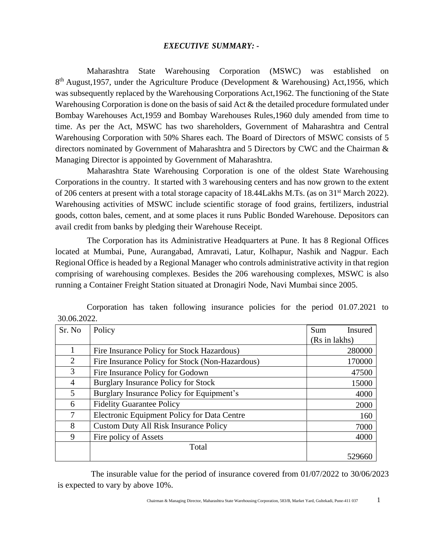#### *EXECUTIVE SUMMARY: -*

 Maharashtra State Warehousing Corporation (MSWC) was established on 8<sup>th</sup> August, 1957, under the Agriculture Produce (Development & Warehousing) Act, 1956, which was subsequently replaced by the Warehousing Corporations Act,1962. The functioning of the State Warehousing Corporation is done on the basis of said Act & the detailed procedure formulated under Bombay Warehouses Act,1959 and Bombay Warehouses Rules,1960 duly amended from time to time. As per the Act, MSWC has two shareholders, Government of Maharashtra and Central Warehousing Corporation with 50% Shares each. The Board of Directors of MSWC consists of 5 directors nominated by Government of Maharashtra and 5 Directors by CWC and the Chairman & Managing Director is appointed by Government of Maharashtra.

 Maharashtra State Warehousing Corporation is one of the oldest State Warehousing Corporations in the country. It started with 3 warehousing centers and has now grown to the extent of 206 centers at present with a total storage capacity of 18.44Lakhs M.Ts. (as on 31st March 2022). Warehousing activities of MSWC include scientific storage of food grains, fertilizers, industrial goods, cotton bales, cement, and at some places it runs Public Bonded Warehouse. Depositors can avail credit from banks by pledging their Warehouse Receipt.

 The Corporation has its Administrative Headquarters at Pune. It has 8 Regional Offices located at Mumbai, Pune, Aurangabad, Amravati, Latur, Kolhapur, Nashik and Nagpur. Each Regional Office is headed by a Regional Manager who controls administrative activity in that region comprising of warehousing complexes. Besides the 206 warehousing complexes, MSWC is also running a Container Freight Station situated at Dronagiri Node, Navi Mumbai since 2005.

| Sr. No         | Policy                                          | Sum<br>Insured |  |
|----------------|-------------------------------------------------|----------------|--|
|                |                                                 | (Rs in lakhs)  |  |
|                | Fire Insurance Policy for Stock Hazardous)      | 280000         |  |
| 2              | Fire Insurance Policy for Stock (Non-Hazardous) | 170000         |  |
| 3              | Fire Insurance Policy for Godown                | 47500          |  |
| 4              | Burglary Insurance Policy for Stock             | 15000          |  |
| $\mathfrak{H}$ | Burglary Insurance Policy for Equipment's       | 4000           |  |
| 6              | <b>Fidelity Guarantee Policy</b>                | 2000           |  |
|                | Electronic Equipment Policy for Data Centre     | 160            |  |
| 8              | <b>Custom Duty All Risk Insurance Policy</b>    | 7000           |  |
| 9              | Fire policy of Assets                           | 4000           |  |
|                | Total                                           |                |  |
|                |                                                 | 52966(         |  |

 Corporation has taken following insurance policies for the period 01.07.2021 to 30.06.2022.

 The insurable value for the period of insurance covered from 01/07/2022 to 30/06/2023 is expected to vary by above 10%.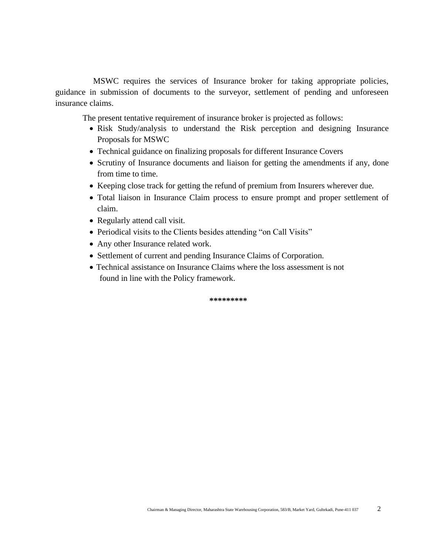MSWC requires the services of Insurance broker for taking appropriate policies, guidance in submission of documents to the surveyor, settlement of pending and unforeseen insurance claims.

The present tentative requirement of insurance broker is projected as follows:

- Risk Study/analysis to understand the Risk perception and designing Insurance Proposals for MSWC
- Technical guidance on finalizing proposals for different Insurance Covers
- Scrutiny of Insurance documents and liaison for getting the amendments if any, done from time to time.
- Keeping close track for getting the refund of premium from Insurers wherever due.
- Total liaison in Insurance Claim process to ensure prompt and proper settlement of claim.
- Regularly attend call visit.
- Periodical visits to the Clients besides attending "on Call Visits"
- Any other Insurance related work.
- Settlement of current and pending Insurance Claims of Corporation.
- Technical assistance on Insurance Claims where the loss assessment is not found in line with the Policy framework.

**\*\*\*\*\*\*\*\*\***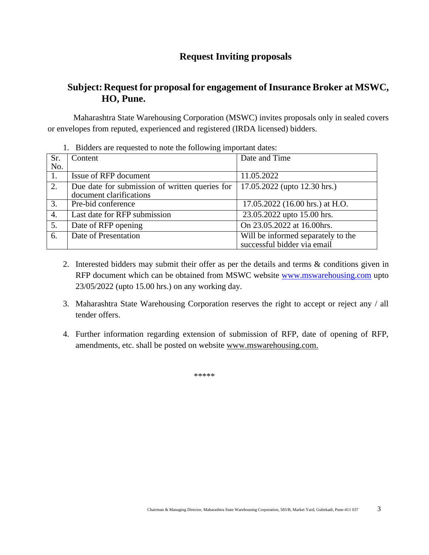### **Request Inviting proposals**

### **Subject: Request for proposal for engagement of Insurance Broker at MSWC, HO, Pune.**

 Maharashtra State Warehousing Corporation (MSWC) invites proposals only in sealed covers or envelopes from reputed, experienced and registered (IRDA licensed) bidders.

|  | 1. Bidders are requested to note the following important dates: |
|--|-----------------------------------------------------------------|
|  |                                                                 |

| Sr.              | Content                                        | Date and Time                      |
|------------------|------------------------------------------------|------------------------------------|
| No.              |                                                |                                    |
| 1.               | Issue of RFP document                          | 11.05.2022                         |
| 2.               | Due date for submission of written queries for | 17.05.2022 (upto 12.30 hrs.)       |
|                  | document clarifications                        |                                    |
| 3.               | Pre-bid conference                             | 17.05.2022 (16.00 hrs.) at H.O.    |
| $\overline{4}$ . | Last date for RFP submission                   | 23.05.2022 upto 15.00 hrs.         |
| 5.               | Date of RFP opening                            | On 23.05.2022 at 16.00hrs.         |
| 6.               | Date of Presentation                           | Will be informed separately to the |
|                  |                                                | successful bidder via email        |

- 2. Interested bidders may submit their offer as per the details and terms & conditions given in RFP document which can be obtained from MSWC website [www.mswarehousing.com](http://www.mswarehousing.com/) upto 23/05/2022 (upto 15.00 hrs.) on any working day.
- 3. Maharashtra State Warehousing Corporation reserves the right to accept or reject any / all tender offers.
- 4. Further information regarding extension of submission of RFP, date of opening of RFP, amendments, etc. shall be posted on website [www.mswarehousing.com.](http://www.mswarehousing.com/)

\*\*\*\*\*\*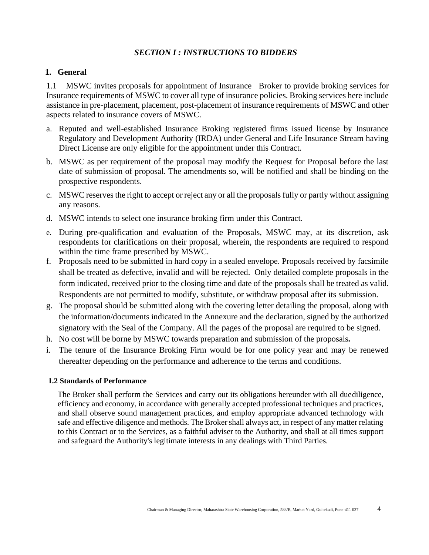### *SECTION I : INSTRUCTIONS TO BIDDERS*

#### **1. General**

1.1 MSWC invites proposals for appointment of Insurance Broker to provide broking services for Insurance requirements of MSWC to cover all type of insurance policies. Broking services here include assistance in pre-placement, placement, post-placement of insurance requirements of MSWC and other aspects related to insurance covers of MSWC.

- a. Reputed and well-established Insurance Broking registered firms issued license by Insurance Regulatory and Development Authority (IRDA) under General and Life Insurance Stream having Direct License are only eligible for the appointment under this Contract.
- b. MSWC as per requirement of the proposal may modify the Request for Proposal before the last date of submission of proposal. The amendments so, will be notified and shall be binding on the prospective respondents.
- c. MSWC reserves the right to accept or reject any or all the proposals fully or partly without assigning any reasons.
- d. MSWC intends to select one insurance broking firm under this Contract.
- e. During pre-qualification and evaluation of the Proposals, MSWC may, at its discretion, ask respondents for clarifications on their proposal, wherein, the respondents are required to respond within the time frame prescribed by MSWC.
- f. Proposals need to be submitted in hard copy in a sealed envelope. Proposals received by facsimile shall be treated as defective, invalid and will be rejected. Only detailed complete proposals in the form indicated, received prior to the closing time and date of the proposals shall be treated as valid. Respondents are not permitted to modify, substitute, or withdraw proposal after its submission.
- g. The proposal should be submitted along with the covering letter detailing the proposal, along with the information/documents indicated in the Annexure and the declaration, signed by the authorized signatory with the Seal of the Company. All the pages of the proposal are required to be signed.
- h. No cost will be borne by MSWC towards preparation and submission of the proposals*.*
- i. The tenure of the Insurance Broking Firm would be for one policy year and may be renewed thereafter depending on the performance and adherence to the terms and conditions.

#### **1.2 Standards of Performance**

The Broker shall perform the Services and carry out its obligations hereunder with all duediligence, efficiency and economy, in accordance with generally accepted professional techniques and practices, and shall observe sound management practices, and employ appropriate advanced technology with safe and effective diligence and methods. The Broker shall always act, in respect of any matter relating to this Contract or to the Services, as a faithful adviser to the Authority, and shall at all times support and safeguard the Authority's legitimate interests in any dealings with Third Parties.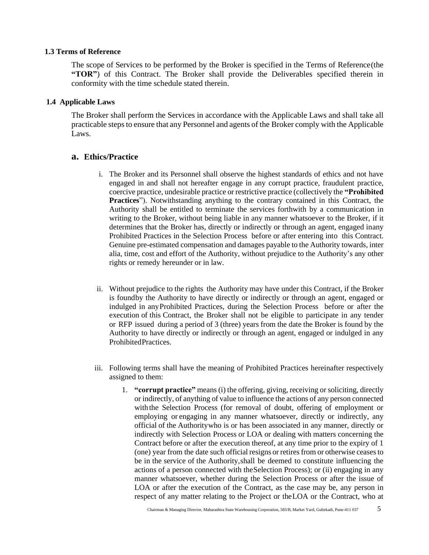#### **1.3 Terms of Reference**

The scope of Services to be performed by the Broker is specified in the Terms of Reference(the **"TOR"**) of this Contract. The Broker shall provide the Deliverables specified therein in conformity with the time schedule stated therein.

#### **1.4 Applicable Laws**

The Broker shall perform the Services in accordance with the Applicable Laws and shall take all practicable steps to ensure that any Personnel and agents of the Broker comply with the Applicable Laws.

#### **a. Ethics/Practice**

- i. The Broker and its Personnel shall observe the highest standards of ethics and not have engaged in and shall not hereafter engage in any corrupt practice, fraudulent practice, coercive practice, undesirable practice or restrictive practice (collectively the **"Prohibited Practices**"). Notwithstanding anything to the contrary contained in this Contract, the Authority shall be entitled to terminate the services forthwith by a communication in writing to the Broker, without being liable in any manner whatsoever to the Broker, if it determines that the Broker has, directly or indirectly or through an agent, engaged inany Prohibited Practices in the Selection Process before or after entering into this Contract. Genuine pre-estimated compensation and damages payable to the Authority towards, inter alia, time, cost and effort of the Authority, without prejudice to the Authority's any other rights or remedy hereunder or in law.
- ii. Without prejudice to the rights the Authority may have under this Contract, if the Broker is foundby the Authority to have directly or indirectly or through an agent, engaged or indulged in anyProhibited Practices, during the Selection Process before or after the execution of this Contract, the Broker shall not be eligible to participate in any tender or RFP issued during a period of 3 (three) years from the date the Broker is found by the Authority to have directly or indirectly or through an agent, engaged or indulged in any ProhibitedPractices.
- iii. Following terms shall have the meaning of Prohibited Practices hereinafter respectively assigned to them:
	- 1. **"corrupt practice"** means (i) the offering, giving, receiving or soliciting, directly or indirectly, of anything of value to influence the actions of any person connected withthe Selection Process (for removal of doubt, offering of employment or employing or engaging in any manner whatsoever, directly or indirectly, any official of the Authoritywho is or has been associated in any manner, directly or indirectly with Selection Process or LOA or dealing with matters concerning the Contract before or after the execution thereof, at any time prior to the expiry of 1 (one) year from the date such official resigns or retires from or otherwise ceases to be in the service of the Authority,shall be deemed to constitute influencing the actions of a person connected with theSelection Process); or (ii) engaging in any manner whatsoever, whether during the Selection Process or after the issue of LOA or after the execution of the Contract, as the case may be, any person in respect of any matter relating to the Project or theLOA or the Contract, who at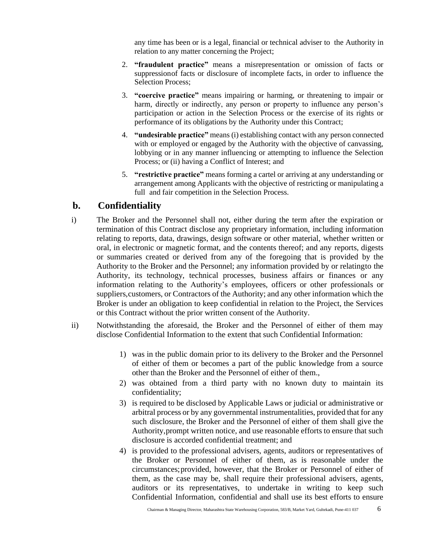any time has been or is a legal, financial or technical adviser to the Authority in relation to any matter concerning the Project;

- 2. **"fraudulent practice"** means a misrepresentation or omission of facts or suppressionof facts or disclosure of incomplete facts, in order to influence the Selection Process;
- 3. **"coercive practice"** means impairing or harming, or threatening to impair or harm, directly or indirectly, any person or property to influence any person's participation or action in the Selection Process or the exercise of its rights or performance of its obligations by the Authority under this Contract;
- 4. **"undesirable practice"** means (i) establishing contact with any person connected with or employed or engaged by the Authority with the objective of canvassing, lobbying or in any manner influencing or attempting to influence the Selection Process; or (ii) having a Conflict of Interest; and
- 5. **"restrictive practice"** means forming a cartel or arriving at any understanding or arrangement among Applicants with the objective of restricting or manipulating a full and fair competition in the Selection Process.

### **b. Confidentiality**

- i) The Broker and the Personnel shall not, either during the term after the expiration or termination of this Contract disclose any proprietary information, including information relating to reports, data, drawings, design software or other material, whether written or oral, in electronic or magnetic format, and the contents thereof; and any reports, digests or summaries created or derived from any of the foregoing that is provided by the Authority to the Broker and the Personnel; any information provided by or relatingto the Authority, its technology, technical processes, business affairs or finances or any information relating to the Authority's employees, officers or other professionals or suppliers,customers, or Contractors of the Authority; and any other information which the Broker is under an obligation to keep confidential in relation to the Project, the Services or this Contract without the prior written consent of the Authority.
- ii) Notwithstanding the aforesaid, the Broker and the Personnel of either of them may disclose Confidential Information to the extent that such Confidential Information:
	- 1) was in the public domain prior to its delivery to the Broker and the Personnel of either of them or becomes a part of the public knowledge from a source other than the Broker and the Personnel of either of them.,
	- 2) was obtained from a third party with no known duty to maintain its confidentiality;
	- 3) is required to be disclosed by Applicable Laws or judicial or administrative or arbitral process or by any governmental instrumentalities, provided that for any such disclosure, the Broker and the Personnel of either of them shall give the Authority,prompt written notice, and use reasonable efforts to ensure that such disclosure is accorded confidential treatment; and
	- 4) is provided to the professional advisers, agents, auditors or representatives of the Broker or Personnel of either of them, as is reasonable under the circumstances;provided, however, that the Broker or Personnel of either of them, as the case may be, shall require their professional advisers, agents, auditors or its representatives, to undertake in writing to keep such Confidential Information, confidential and shall use its best efforts to ensure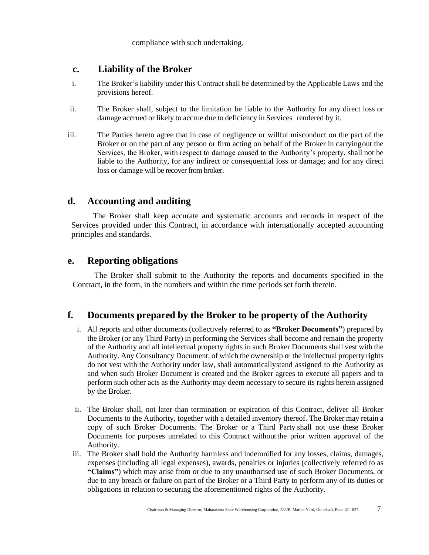compliance with such undertaking.

### **c. Liability of the Broker**

- i. The Broker's liability under this Contract shall be determined by the Applicable Laws and the provisions hereof.
- ii. The Broker shall, subject to the limitation be liable to the Authority for any direct loss or damage accrued or likely to accrue due to deficiency in Services rendered by it.
- iii. The Parties hereto agree that in case of negligence or willful misconduct on the part of the Broker or on the part of any person or firm acting on behalf of the Broker in carryingout the Services, the Broker, with respect to damage caused to the Authority's property, shall not be liable to the Authority, for any indirect or consequential loss or damage; and for any direct loss or damage will be recover from broker.

### **d. Accounting and auditing**

The Broker shall keep accurate and systematic accounts and records in respect of the Services provided under this Contract, in accordance with internationally accepted accounting principles and standards.

### **e. Reporting obligations**

The Broker shall submit to the Authority the reports and documents specified in the Contract, in the form, in the numbers and within the time periods set forth therein.

### **f. Documents prepared by the Broker to be property of the Authority**

- i. All reports and other documents (collectively referred to as **"Broker Documents"**) prepared by the Broker (or any Third Party) in performing the Services shall become and remain the property of the Authority and all intellectual property rights in such Broker Documents shall vest with the Authority. Any Consultancy Document, of which the ownership  $\alpha$  the intellectual property rights do not vest with the Authority under law, shall automaticallystand assigned to the Authority as and when such Broker Document is created and the Broker agrees to execute all papers and to perform such other acts as the Authority may deem necessary to secure its rights herein assigned by the Broker.
- ii. The Broker shall, not later than termination or expiration of this Contract, deliver all Broker Documents to the Authority, together with a detailed inventory thereof. The Broker may retain a copy of such Broker Documents. The Broker or a Third Party shall not use these Broker Documents for purposes unrelated to this Contract withoutthe prior written approval of the Authority.
- iii. The Broker shall hold the Authority harmless and indemnified for any losses, claims, damages, expenses (including all legal expenses), awards, penalties or injuries (collectively referred to as **"Claims"**) which may arise from or due to any unauthorised use of such Broker Documents, or due to any breach or failure on part of the Broker or a Third Party to perform any of its duties or obligations in relation to securing the aforementioned rights of the Authority.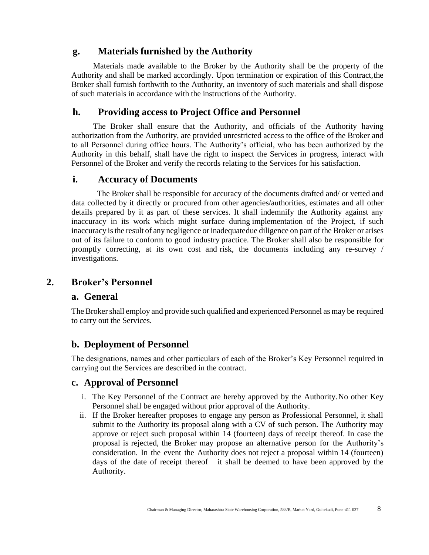### **g. Materials furnished by the Authority**

Materials made available to the Broker by the Authority shall be the property of the Authority and shall be marked accordingly. Upon termination or expiration of this Contract,the Broker shall furnish forthwith to the Authority, an inventory of such materials and shall dispose of such materials in accordance with the instructions of the Authority.

### **h. Providing access to Project Office and Personnel**

The Broker shall ensure that the Authority, and officials of the Authority having authorization from the Authority, are provided unrestricted access to the office of the Broker and to all Personnel during office hours. The Authority's official, who has been authorized by the Authority in this behalf, shall have the right to inspect the Services in progress, interact with Personnel of the Broker and verify the records relating to the Services for his satisfaction.

### **i. Accuracy of Documents**

 The Broker shall be responsible for accuracy of the documents drafted and/ or vetted and data collected by it directly or procured from other agencies/authorities, estimates and all other details prepared by it as part of these services. It shall indemnify the Authority against any inaccuracy in its work which might surface during implementation of the Project, if such inaccuracy isthe result of any negligence or inadequatedue diligence on part of the Broker or arises out of its failure to conform to good industry practice. The Broker shall also be responsible for promptly correcting, at its own cost and risk, the documents including any re-survey / investigations.

### **2. Broker's Personnel**

### **a. General**

The Broker shall employ and provide such qualified and experienced Personnel as may be required to carry out the Services.

### **b. Deployment of Personnel**

The designations, names and other particulars of each of the Broker's Key Personnel required in carrying out the Services are described in the contract.

### **c. Approval of Personnel**

- i. The Key Personnel of the Contract are hereby approved by the Authority.No other Key Personnel shall be engaged without prior approval of the Authority.
- ii. If the Broker hereafter proposes to engage any person as Professional Personnel, it shall submit to the Authority its proposal along with a CV of such person. The Authority may approve or reject such proposal within 14 (fourteen) days of receipt thereof. In case the proposal is rejected, the Broker may propose an alternative person for the Authority's consideration. In the event the Authority does not reject a proposal within 14 (fourteen) days of the date of receipt thereof it shall be deemed to have been approved by the Authority.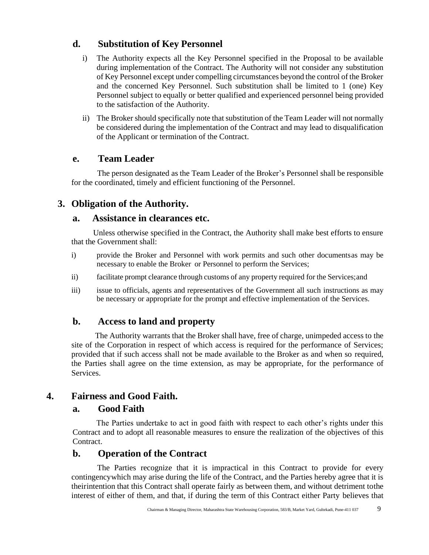### **d. Substitution of Key Personnel**

- i) The Authority expects all the Key Personnel specified in the Proposal to be available during implementation of the Contract. The Authority will not consider any substitution of Key Personnel except under compelling circumstances beyond the control of the Broker and the concerned Key Personnel. Such substitution shall be limited to 1 (one) Key Personnel subject to equally or better qualified and experienced personnel being provided to the satisfaction of the Authority.
- ii) The Broker should specifically note that substitution of the Team Leader will not normally be considered during the implementation of the Contract and may lead to disqualification of the Applicant or termination of the Contract.

### **e. Team Leader**

 The person designated as the Team Leader of the Broker's Personnel shall be responsible for the coordinated, timely and efficient functioning of the Personnel.

### **3. Obligation of the Authority.**

### **a. Assistance in clearances etc.**

Unless otherwise specified in the Contract, the Authority shall make best efforts to ensure that the Government shall:

- i) provide the Broker and Personnel with work permits and such other documentsas may be necessary to enable the Broker or Personnel to perform the Services;
- ii) facilitate prompt clearance through customs of any property required for the Services;and
- iii) issue to officials, agents and representatives of the Government all such instructions as may be necessary or appropriate for the prompt and effective implementation of the Services.

### **b. Access to land and property**

The Authority warrants that the Broker shall have, free of charge, unimpeded access to the site of the Corporation in respect of which access is required for the performance of Services; provided that if such access shall not be made available to the Broker as and when so required, the Parties shall agree on the time extension, as may be appropriate, for the performance of Services.

### **4. Fairness and Good Faith.**

### **a. Good Faith**

The Parties undertake to act in good faith with respect to each other's rights under this Contract and to adopt all reasonable measures to ensure the realization of the objectives of this Contract.

### **b. Operation of the Contract**

 The Parties recognize that it is impractical in this Contract to provide for every contingencywhich may arise during the life of the Contract, and the Parties hereby agree that it is theirintention that this Contract shall operate fairly as between them, and without detriment tothe interest of either of them, and that, if during the term of this Contract either Party believes that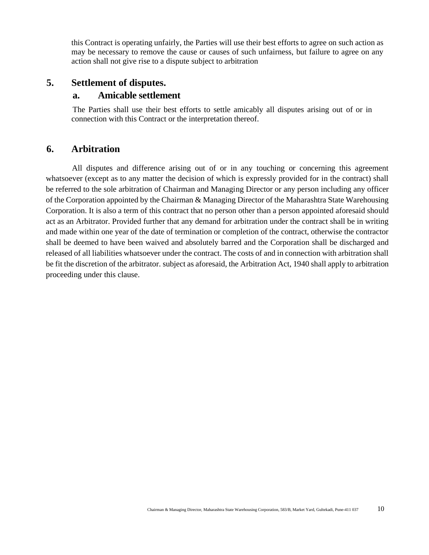this Contract is operating unfairly, the Parties will use their best efforts to agree on such action as may be necessary to remove the cause or causes of such unfairness, but failure to agree on any action shall not give rise to a dispute subject to arbitration

### **5. Settlement of disputes.**

#### **a. Amicable settlement**

The Parties shall use their best efforts to settle amicably all disputes arising out of or in connection with this Contract or the interpretation thereof.

### **6. Arbitration**

 All disputes and difference arising out of or in any touching or concerning this agreement whatsoever (except as to any matter the decision of which is expressly provided for in the contract) shall be referred to the sole arbitration of Chairman and Managing Director or any person including any officer of the Corporation appointed by the Chairman & Managing Director of the Maharashtra State Warehousing Corporation. It is also a term of this contract that no person other than a person appointed aforesaid should act as an Arbitrator. Provided further that any demand for arbitration under the contract shall be in writing and made within one year of the date of termination or completion of the contract, otherwise the contractor shall be deemed to have been waived and absolutely barred and the Corporation shall be discharged and released of all liabilities whatsoever under the contract. The costs of and in connection with arbitration shall be fit the discretion of the arbitrator. subject as aforesaid, the Arbitration Act, 1940 shall apply to arbitration proceeding under this clause.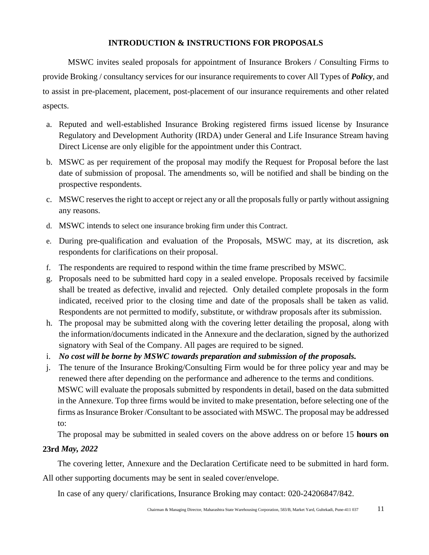### **INTRODUCTION & INSTRUCTIONS FOR PROPOSALS**

MSWC invites sealed proposals for appointment of Insurance Brokers / Consulting Firms to provide Broking / consultancy services for our insurance requirements to cover All Types of *Policy*, and to assist in pre-placement, placement, post-placement of our insurance requirements and other related aspects.

- a. Reputed and well-established Insurance Broking registered firms issued license by Insurance Regulatory and Development Authority (IRDA) under General and Life Insurance Stream having Direct License are only eligible for the appointment under this Contract.
- b. MSWC as per requirement of the proposal may modify the Request for Proposal before the last date of submission of proposal. The amendments so, will be notified and shall be binding on the prospective respondents.
- c. MSWC reserves the right to accept or reject any or all the proposals fully or partly without assigning any reasons.
- d. MSWC intends to select one insurance broking firm under this Contract.
- e. During pre-qualification and evaluation of the Proposals, MSWC may, at its discretion, ask respondents for clarifications on their proposal.
- f. The respondents are required to respond within the time frame prescribed by MSWC.
- g. Proposals need to be submitted hard copy in a sealed envelope. Proposals received by facsimile shall be treated as defective, invalid and rejected. Only detailed complete proposals in the form indicated, received prior to the closing time and date of the proposals shall be taken as valid. Respondents are not permitted to modify, substitute, or withdraw proposals after its submission.
- h. The proposal may be submitted along with the covering letter detailing the proposal, along with the information/documents indicated in the Annexure and the declaration, signed by the authorized signatory with Seal of the Company. All pages are required to be signed.
- i. *No cost will be borne by MSWC towards preparation and submission of the proposals.*
- j. The tenure of the Insurance Broking/Consulting Firm would be for three policy year and may be renewed there after depending on the performance and adherence to the terms and conditions. MSWC will evaluate the proposals submitted by respondents in detail, based on the data submitted in the Annexure. Top three firms would be invited to make presentation, before selecting one of the firms as Insurance Broker /Consultant to be associated with MSWC. The proposal may be addressed to:

The proposal may be submitted in sealed covers on the above address on or before 15 **hours on**

### **23rd** *May, 2022*

The covering letter, Annexure and the Declaration Certificate need to be submitted in hard form.

All other supporting documents may be sent in sealed cover/envelope.

In case of any query/ clarifications, Insurance Broking may contact: 020-24206847/842.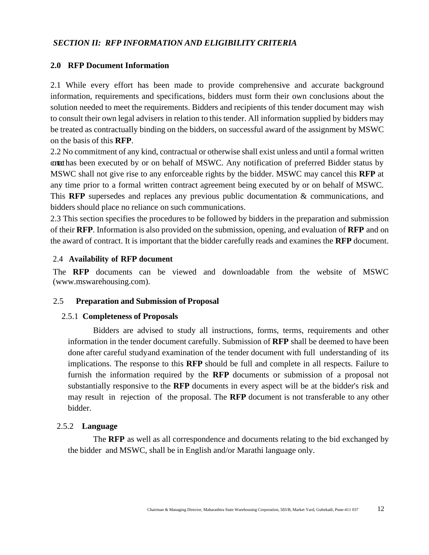#### *SECTION II: RFP INFORMATION AND ELIGIBILITY CRITERIA*

#### **2.0 RFP Document Information**

2.1 While every effort has been made to provide comprehensive and accurate background information, requirements and specifications, bidders must form their own conclusions about the solution needed to meet the requirements. Bidders and recipients of this tender document may wish to consult their own legal advisers in relation to this tender. All information supplied by bidders may be treated as contractually binding on the bidders, on successful award of the assignment by MSWC on the basis of this **RFP**.

2.2 No commitment of any kind, contractual or otherwise shall exist unless and until a formal written contact has been executed by or on behalf of MSWC. Any notification of preferred Bidder status by MSWC shall not give rise to any enforceable rights by the bidder. MSWC may cancel this **RFP** at any time prior to a formal written contract agreement being executed by or on behalf of MSWC. This **RFP** supersedes and replaces any previous public documentation & communications, and bidders should place no reliance on such communications.

2.3 This section specifies the procedures to be followed by bidders in the preparation and submission of their **RFP**. Information is also provided on the submission, opening, and evaluation of **RFP** and on the award of contract. It is important that the bidder carefully reads and examines the **RFP** document.

#### 2.4 **Availability of RFP document**

The **RFP** documents can be viewed and downloadable from the website of MSWC (www.mswarehousing.com).

#### 2.5 **Preparation and Submission of Proposal**

#### 2.5.1 **Completeness of Proposals**

Bidders are advised to study all instructions, forms, terms, requirements and other information in the tender document carefully. Submission of **RFP** shall be deemed to have been done after careful studyand examination of the tender document with full understanding of its implications. The response to this **RFP** should be full and complete in all respects. Failure to furnish the information required by the **RFP** documents or submission of a proposal not substantially responsive to the **RFP** documents in every aspect will be at the bidder's risk and may result in rejection of the proposal. The **RFP** document is not transferable to any other bidder.

#### 2.5.2 **Language**

The **RFP** as well as all correspondence and documents relating to the bid exchanged by the bidder and MSWC, shall be in English and/or Marathi language only.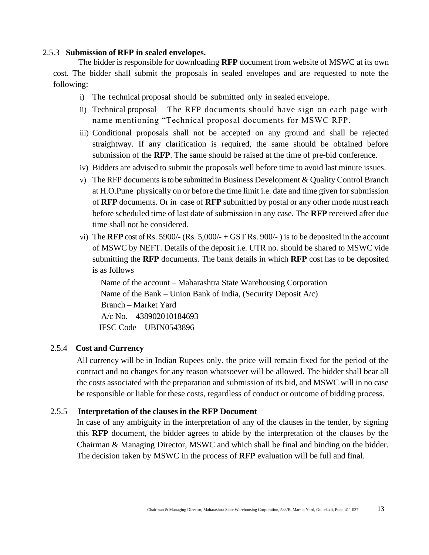#### 2.5.3 **Submission of RFP in sealed envelopes.**

The bidder is responsible for downloading **RFP** document from website of MSWC at its own cost. The bidder shall submit the proposals in sealed envelopes and are requested to note the following:

- i) The technical proposal should be submitted only in sealed envelope.
- ii) Technical proposal The RFP documents should have sign on each page with name mentioning "Technical proposal documents for MSWC RFP.
- iii) Conditional proposals shall not be accepted on any ground and shall be rejected straightway. If any clarification is required, the same should be obtained before submission of the **RFP**. The same should be raised at the time of pre-bid conference.
- iv) Bidders are advised to submit the proposals well before time to avoid last minute issues.
- v) The RFP documents is to be submitted in Business Development & Quality Control Branch at H.O.Pune physically on or before the time limit i.e. date and time given for submission of **RFP** documents. Or in case of **RFP** submitted by postal or any other mode must reach before scheduled time of last date of submission in any case. The **RFP** received after due time shall not be considered.
- vi) The **RFP** cost of Rs. 5900/- (Rs. 5,000/- + GST Rs. 900/-) is to be deposited in the account of MSWC by NEFT. Details of the deposit i.e. UTR no. should be shared to MSWC vide submitting the **RFP** documents. The bank details in which **RFP** cost has to be deposited is as follows

 Name of the account – Maharashtra State Warehousing Corporation Name of the Bank – Union Bank of India, (Security Deposit A/c) Branch – Market Yard A/c No. – 438902010184693 IFSC Code – UBIN0543896

#### 2.5.4 **Cost and Currency**

All currency will be in Indian Rupees only. the price will remain fixed for the period of the contract and no changes for any reason whatsoever will be allowed. The bidder shall bear all the costs associated with the preparation and submission of its bid, and MSWC will in no case be responsible or liable for these costs, regardless of conduct or outcome of bidding process.

#### 2.5.5 **Interpretation of the clauses in the RFP Document**

In case of any ambiguity in the interpretation of any of the clauses in the tender, by signing this **RFP** document, the bidder agrees to abide by the interpretation of the clauses by the Chairman & Managing Director, MSWC and which shall be final and binding on the bidder. The decision taken by MSWC in the process of **RFP** evaluation will be full and final.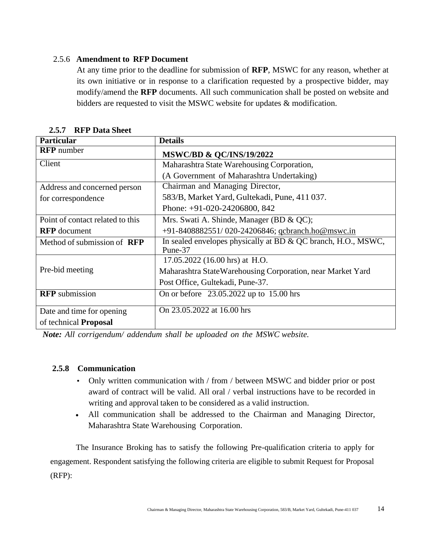#### 2.5.6 **Amendment to RFP Document**

At any time prior to the deadline for submission of **RFP**, MSWC for any reason, whether at its own initiative or in response to a clarification requested by a prospective bidder, may modify/amend the **RFP** documents. All such communication shall be posted on website and bidders are requested to visit the MSWC website for updates & modification.

| <b>Particular</b>                  | <b>Details</b>                                                           |
|------------------------------------|--------------------------------------------------------------------------|
| <b>RFP</b> number                  | <b>MSWC/BD &amp; QC/INS/19/2022</b>                                      |
| Client                             | Maharashtra State Warehousing Corporation,                               |
|                                    | (A Government of Maharashtra Undertaking)                                |
| Address and concerned person       | Chairman and Managing Director,                                          |
| for correspondence                 | 583/B, Market Yard, Gultekadi, Pune, 411 037.                            |
|                                    | Phone: $+91-020-24206800$ , 842                                          |
| Point of contact related to this   | Mrs. Swati A. Shinde, Manager (BD & QC);                                 |
| <b>RFP</b> document                | +91-8408882551/020-24206846; gcbranch.ho@mswc.in                         |
| Method of submission of <b>RFP</b> | In sealed envelopes physically at BD & QC branch, H.O., MSWC,<br>Pune-37 |
|                                    | 17.05.2022 (16.00 hrs) at H.O.                                           |
| Pre-bid meeting                    | Maharashtra StateWarehousing Corporation, near Market Yard               |
|                                    | Post Office, Gultekadi, Pune-37.                                         |
| <b>RFP</b> submission              | On or before 23.05.2022 up to 15.00 hrs                                  |
| Date and time for opening          | On 23.05.2022 at 16.00 hrs                                               |
| of technical <b>Proposal</b>       |                                                                          |

 **2.5.7 RFP Data Sheet**

*Note: All corrigendum/ addendum shall be uploaded on the MSWC website.*

#### **2.5.8 Communication**

- Only written communication with / from / between MSWC and bidder prior or post award of contract will be valid. All oral / verbal instructions have to be recorded in writing and approval taken to be considered as a valid instruction.
- All communication shall be addressed to the Chairman and Managing Director, Maharashtra State Warehousing Corporation.

 The Insurance Broking has to satisfy the following Pre-qualification criteria to apply for engagement. Respondent satisfying the following criteria are eligible to submit Request for Proposal (RFP):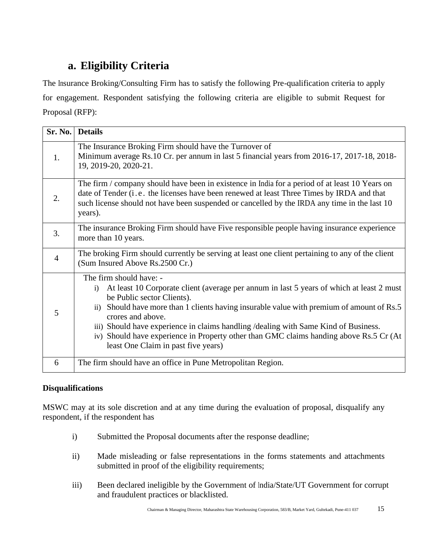# **a. Eligibility Criteria**

The Insurance Broking/Consulting Firm has to satisfy the following Pre-qualification criteria to apply for engagement. Respondent satisfying the following criteria are eligible to submit Request for Proposal (RFP):

| Sr. No.          | <b>Details</b>                                                                                                                                                                                                                                                                                                                                                                                                                                                                                            |
|------------------|-----------------------------------------------------------------------------------------------------------------------------------------------------------------------------------------------------------------------------------------------------------------------------------------------------------------------------------------------------------------------------------------------------------------------------------------------------------------------------------------------------------|
| 1.               | The Insurance Broking Firm should have the Turnover of<br>Minimum average Rs.10 Cr. per annum in last 5 financial years from 2016-17, 2017-18, 2018-<br>19, 2019-20, 2020-21.                                                                                                                                                                                                                                                                                                                             |
| 2.               | The firm / company should have been in existence in India for a period of at least 10 Years on<br>date of Tender (i.e. the licenses have been renewed at least Three Times by IRDA and that<br>such license should not have been suspended or cancelled by the IRDA any time in the last 10<br>years).                                                                                                                                                                                                    |
| $\overline{3}$ . | The insurance Broking Firm should have Five responsible people having insurance experience<br>more than 10 years.                                                                                                                                                                                                                                                                                                                                                                                         |
| $\overline{4}$   | The broking Firm should currently be serving at least one client pertaining to any of the client<br>(Sum Insured Above Rs.2500 Cr.)                                                                                                                                                                                                                                                                                                                                                                       |
| 5                | The firm should have: -<br>At least 10 Corporate client (average per annum in last 5 years of which at least 2 must<br>$\ddot{1}$<br>be Public sector Clients).<br>ii) Should have more than 1 clients having insurable value with premium of amount of Rs.5<br>crores and above.<br>iii) Should have experience in claims handling /dealing with Same Kind of Business.<br>iv) Should have experience in Property other than GMC claims handing above Rs.5 Cr (At<br>least One Claim in past five years) |
| 6                | The firm should have an office in Pune Metropolitan Region.                                                                                                                                                                                                                                                                                                                                                                                                                                               |

### **Disqualifications**

MSWC may at its sole discretion and at any time during the evaluation of proposal, disqualify any respondent, if the respondent has

- i) Submitted the Proposal documents after the response deadline;
- ii) Made misleading or false representations in the forms statements and attachments submitted in proof of the eligibility requirements;
- iii) Been declared ineligible by the Government of India/State/UT Government for corrupt and fraudulent practices or blacklisted.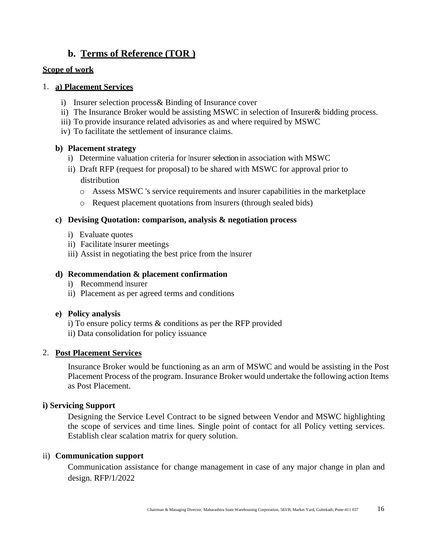### **b. Terms of Reference (TOR )**

#### **Scope of work**

#### 1. **a) Placement Services**

- i) Insurer selection process& Binding of Insurance cover
- ii) The Insurance Broker would be assisting MSWC in selection of Insurer& bidding process.
- iii) To provide insurance related advisories as and where required by MSWC
- iv) To facilitate the settlement of insurance claims.

### **b) Placement strategy**

- i) Determine valuation criteria for Insurer selection in association with MSWC
- ii) Draft RFP (request for proposal) to be shared with MSWC for approval prior to distribution
	- o Assess MSWC 's service requirements and Insurer capabilities in the marketplace
	- o Request placement quotations from Insurers (through sealed bids)

### **c) Devising Quotation: comparison, analysis & negotiation process**

- i) Evaluate quotes
- ii) Facilitate Insurer meetings
- iii) Assist in negotiating the best price from the Insurer

### **d) Recommendation & placement confirmation**

- i) Recommend Insurer
- ii) Placement as per agreed terms and conditions

### **e) Policy analysis**

- i) To ensure policy terms & conditions as per the RFP provided
- ii) Data consolidation for policy issuance

### 2. **Post Placement Services**

Insurance Broker would be functioning as an arm of MSWC and would be assisting in the Post Placement Process of the program. Insurance Broker would undertake the following action Items as Post Placement.

### **i) Servicing Support**

Designing the Service Level Contract to be signed between Vendor and MSWC highlighting the scope of services and time lines. Single point of contact for all Policy vetting services. Establish clear scalation matrix for query solution.

### ii) **Communication support**

Communication assistance for change management in case of any major change in plan and design. RFP/1/2022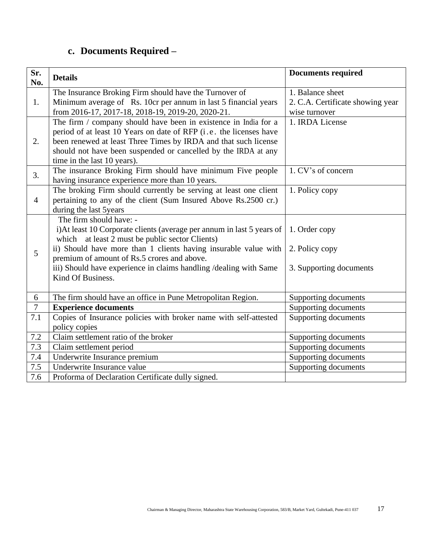# **c. Documents Required –**

| Sr.<br>No.     | <b>Details</b>                                                                                                                                                                                                                                                                                                                                                   | <b>Documents required</b>                                  |
|----------------|------------------------------------------------------------------------------------------------------------------------------------------------------------------------------------------------------------------------------------------------------------------------------------------------------------------------------------------------------------------|------------------------------------------------------------|
| 1.             | The Insurance Broking Firm should have the Turnover of                                                                                                                                                                                                                                                                                                           | 1. Balance sheet                                           |
|                | Minimum average of Rs. 10cr per annum in last 5 financial years<br>from 2016-17, 2017-18, 2018-19, 2019-20, 2020-21.                                                                                                                                                                                                                                             | 2. C.A. Certificate showing year<br>wise turnover          |
| 2.             | The firm / company should have been in existence in India for a<br>period of at least 10 Years on date of RFP (i.e. the licenses have<br>been renewed at least Three Times by IRDA and that such license<br>should not have been suspended or cancelled by the IRDA at any<br>time in the last 10 years).                                                        | 1. IRDA License                                            |
| 3.             | The insurance Broking Firm should have minimum Five people<br>having insurance experience more than 10 years.                                                                                                                                                                                                                                                    | 1. CV's of concern                                         |
| $\overline{4}$ | The broking Firm should currently be serving at least one client<br>pertaining to any of the client (Sum Insured Above Rs.2500 cr.)<br>during the last 5years                                                                                                                                                                                                    | 1. Policy copy                                             |
| 5              | The firm should have: -<br>i) At least 10 Corporate clients (average per annum in last 5 years of<br>which at least 2 must be public sector Clients)<br>ii) Should have more than 1 clients having insurable value with<br>premium of amount of Rs.5 crores and above.<br>iii) Should have experience in claims handling /dealing with Same<br>Kind Of Business. | 1. Order copy<br>2. Policy copy<br>3. Supporting documents |
| 6              | The firm should have an office in Pune Metropolitan Region.                                                                                                                                                                                                                                                                                                      | Supporting documents                                       |
| $\tau$         | <b>Experience documents</b>                                                                                                                                                                                                                                                                                                                                      | Supporting documents                                       |
| 7.1            | Copies of Insurance policies with broker name with self-attested<br>policy copies                                                                                                                                                                                                                                                                                | Supporting documents                                       |
| $7.2\,$        | Claim settlement ratio of the broker                                                                                                                                                                                                                                                                                                                             | Supporting documents                                       |
| 7.3            | Claim settlement period                                                                                                                                                                                                                                                                                                                                          | Supporting documents                                       |
| 7.4            | Underwrite Insurance premium                                                                                                                                                                                                                                                                                                                                     | Supporting documents                                       |
| 7.5            | Underwrite Insurance value                                                                                                                                                                                                                                                                                                                                       | Supporting documents                                       |
| 7.6            | Proforma of Declaration Certificate dully signed.                                                                                                                                                                                                                                                                                                                |                                                            |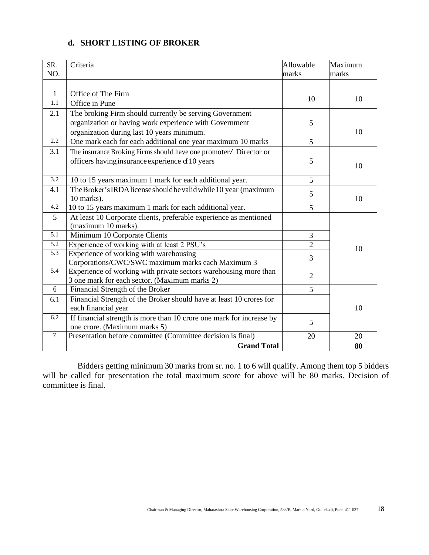### **d. SHORT LISTING OF BROKER**

| SR.          | Criteria                                                             | Allowable      | Maximum |
|--------------|----------------------------------------------------------------------|----------------|---------|
| NO.          |                                                                      | marks          | marks   |
|              |                                                                      |                |         |
| $\mathbf{1}$ | Office of The Firm                                                   | 10             | 10      |
| 1.1          | Office in Pune                                                       |                |         |
| 2.1          | The broking Firm should currently be serving Government              |                |         |
|              | organization or having work experience with Government               | 5              |         |
|              | organization during last 10 years minimum.                           |                | 10      |
| 2.2          | One mark each for each additional one year maximum 10 marks          | 5              |         |
| 3.1          | The insurance Broking Firms should have one promoter/ Director or    |                |         |
|              | officers having insurance experience of 10 years                     | 5              |         |
|              |                                                                      |                | 10      |
| 3.2          | 10 to 15 years maximum 1 mark for each additional year.              | 5              |         |
| 4.1          | The Broker's IRDA license should be valid while 10 year (maximum     | 5              |         |
|              | 10 marks).                                                           |                | 10      |
| 4.2          | 10 to 15 years maximum 1 mark for each additional year.              | 5              |         |
| 5            | At least 10 Corporate clients, preferable experience as mentioned    |                |         |
|              | (maximum 10 marks).                                                  |                |         |
| 5.1          | Minimum 10 Corporate Clients                                         | 3              |         |
| 5.2          | Experience of working with at least 2 PSU's                          | $\overline{2}$ | 10      |
| 5.3          | Experience of working with warehousing                               | 3              |         |
|              | Corporations/CWC/SWC maximum marks each Maximum 3                    |                |         |
| 5.4          | Experience of working with private sectors warehousing more than     | $\overline{2}$ |         |
|              | 3 one mark for each sector. (Maximum marks 2)                        |                |         |
| 6            | Financial Strength of the Broker                                     | 5              |         |
| 6.1          | Financial Strength of the Broker should have at least 10 crores for  |                |         |
|              | each financial year                                                  |                | 10      |
| 6.2          | If financial strength is more than 10 crore one mark for increase by | 5              |         |
|              | one crore. (Maximum marks 5)                                         |                |         |
| $\tau$       | Presentation before committee (Committee decision is final)          | 20             | 20      |
|              | <b>Grand Total</b>                                                   |                | 80      |

Bidders getting minimum 30 marks from sr. no. 1 to 6 will qualify. Among them top 5 bidders will be called for presentation the total maximum score for above will be 80 marks. Decision of committee is final.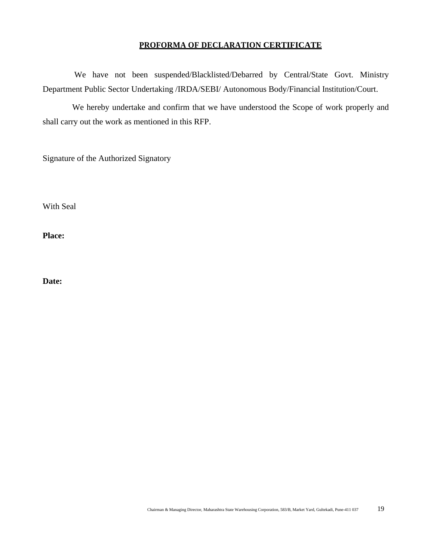#### **PROFORMA OF DECLARATION CERTIFICATE**

 We have not been suspended/Blacklisted/Debarred by Central/State Govt. Ministry Department Public Sector Undertaking /IRDA/SEBI/ Autonomous Body/Financial Institution/Court.

 We hereby undertake and confirm that we have understood the Scope of work properly and shall carry out the work as mentioned in this RFP.

Signature of the Authorized Signatory

With Seal

**Place:**

**Date:**